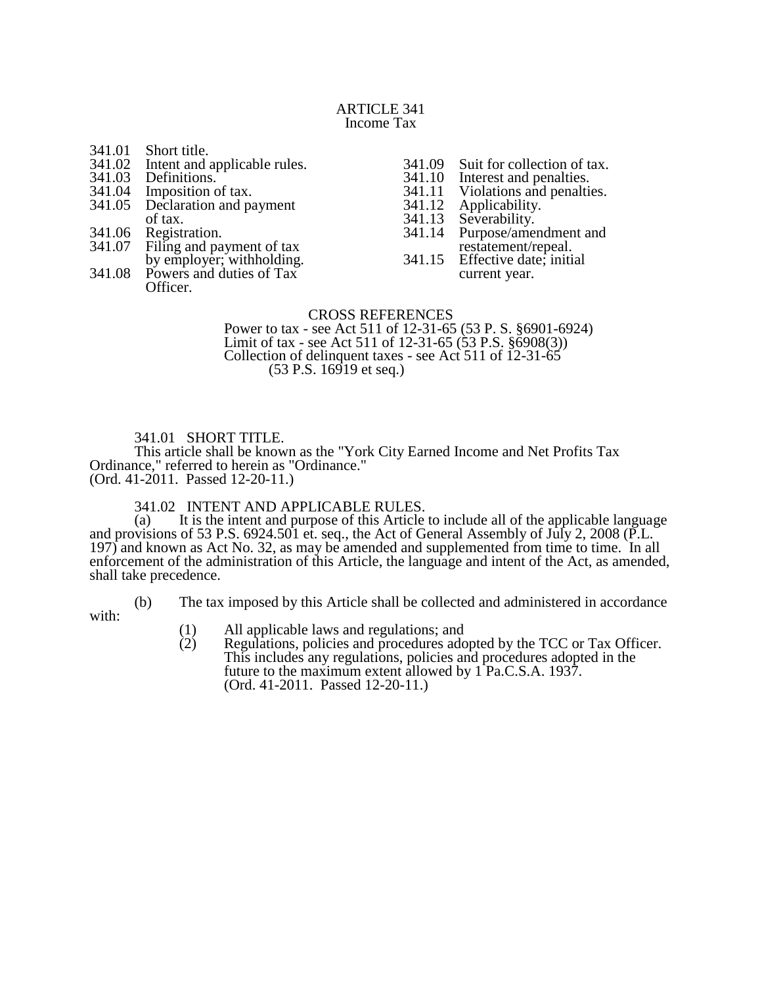#### ARTICLE 341 Income Tax

- 341.01 Short title.<br>341.02 Intent and a
- 341.02 Intent and applicable rules.<br>341.03 Definitions.
- 341.03 Definitions.<br>341.04 Imposition of
- 341.04 Imposition of tax.<br>341.05 Declaration and pa
- Declaration and payment of tax.
- 341.06 Registration.<br>341.07 Filing and pa
- Filing and payment of tax
- by employer; withholding. 341.08 Powers and duties of Tax
	- Officer.
- 341.09 Suit for collection of tax.<br>341.10 Interest and penalties.
- 341.10 Interest and penalties.<br>341.11 Violations and penalties
- 341.11 Violations and penalties.<br>341.12 Applicability.
- 341.12 Applicability.<br>341.13 Severability.
- 341.13 Severability.<br>341.14 Purpose/amer
- Purpose/amendment and restatement/repeal.
- 341.15 Effective date; initial current year.

### CROSS REFERENCES

Power to tax - see Act 511 of 12-31-65 (53 P. S. §6901-6924) Limit of tax - see Act 511 of 12-31-65 (53 P.S. §6908(3)) Collection of delinquent taxes - see Act 511 of  $12-31-65$  $(53 \text{ P.S. } 16919 \text{ et seq.})$ 

### 341.01 SHORT TITLE.

This article shall be known as the "York City Earned Income and Net Profits Tax Ordinance," referred to herein as "Ordinance." (Ord. 41-2011. Passed 12-20-11.)

# 341.02 INTENT AND APPLICABLE RULES.<br>(a) It is the intent and purpose of this Article

It is the intent and purpose of this Article to include all of the applicable language and provisions of 53 P.S. 6924.501 et. seq., the Act of General Assembly of July 2, 2008 (P.L. 197) and known as Act No. 32, as may be amended and supplemented from time to time. In all enforcement of the administration of this Article, the language and intent of the Act, as amended, shall take precedence.

with:

- (b) The tax imposed by this Article shall be collected and administered in accordance
	-
	- (1) All applicable laws and regulations; and<br>
	(2) Regulations, policies and procedures ado Regulations, policies and procedures adopted by the TCC or Tax Officer. This includes any regulations, policies and procedures adopted in the future to the maximum extent allowed by 1 Pa.C.S.A. 1937. (Ord. 41-2011. Passed 12-20-11.)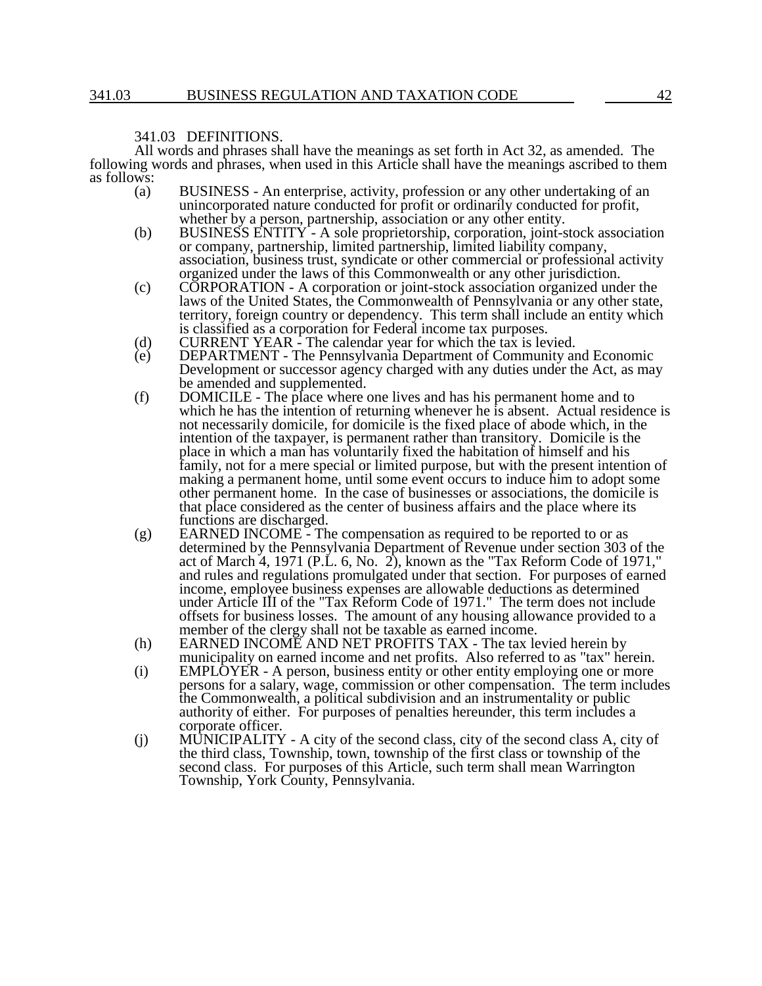#### 341.03 DEFINITIONS.

All words and phrases shall have the meanings as set forth in Act 32, as amended. The following words and phrases, when used in this Article shall have the meanings ascribed to them as follows:

- (a) BUSINESS An enterprise, activity, profession or any other undertaking of an unincorporated nature conducted for profit or ordinarily conducted for profit, whether by a person, partnership, association or any other entity.
- (b) BUSINESS ENTITY A sole proprietorship, corporation, joint-stock association or company, partnership, limited partnership, limited liability company, association, business trust, syndicate or other commercial or professional activity organized under the laws of this Commonwealth or any other jurisdiction.
- (c) CORPORATION A corporation or joint-stock association organized under the laws of the United States, the Commonwealth of Pennsylvania or any other state, territory, foreign country or dependency. This term shall include an entity which is classified as a corporation for Federal income tax purposes.
- (d) CURRENT YEAR The calendar year for which the tax is levied.<br>(e) DEPARTMENT The Pennsylvania Department of Community and
- DEPARTMENT The Pennsylvania Department of Community and Economic Development or successor agency charged with any duties under the Act, as may be amended and supplemented.
- (f) DOMICILE The place where one lives and has his permanent home and to which he has the intention of returning whenever he is absent. Actual residence is not necessarily domicile, for domicile is the fixed place of abode which, in the intention of the taxpayer, is permanent rather than transitory. Domicile is the place in which a man has voluntarily fixed the habitation of himself and his family, not for a mere special or limited purpose, but with the present intention of making a permanent home, until some event occurs to induce him to adopt some other permanent home. In the case of businesses or associations, the domicile is that place considered as the center of business affairs and the place where its functions are discharged.
- $(g)$  EARNED INCOME The compensation as required to be reported to or as determined by the Pennsylvania Department of Revenue under section 303 of the act of March 4, 1971 (P.L. 6, No. 2), known as the "Tax Reform Code of 1971," and rules and regulations promulgated under that section. For purposes of earned income, employee business expenses are allowable deductions as determined under Article III of the "Tax Reform Code of 1971." The term does not include offsets for business losses. The amount of any housing allowance provided to a member of the clergy shall not be taxable as earned income.
- (h) EARNED INCOME AND NET PROFITS TAX The tax levied herein by municipality on earned income and net profits. Also referred to as "tax" herein.
- (i) EMPLOYER A person, business entity or other entity employing one or more persons for a salary, wage, commission or other compensation. The term includes the Commonwealth, a political subdivision and an instrumentality or public authority of either. For purposes of penalties hereunder, this term includes a corporate officer.
- (j) MUNICIPALITY A city of the second class, city of the second class A, city of the third class, Township, town, township of the first class or township of the second class. For purposes of this Article, such term shall mean Warrington Township, York County, Pennsylvania.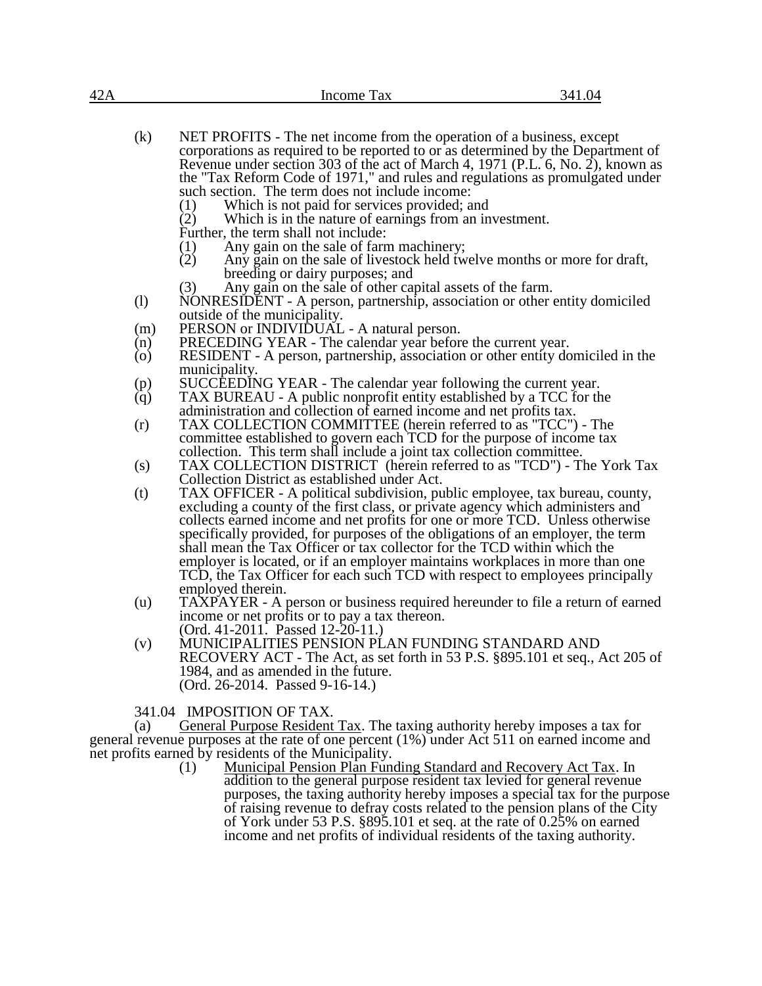| NET PROFITS - The net income from the operation of a business, except<br>(k)<br>corporations as required to be reported to or as determined by the Department of<br>Revenue under section 303 of the act of March 4, 1971 (P.L. 6, No. 2), known as<br>the "Tax Reform Code of 1971," and rules and regulations as promulgated under | 42A | Income Tax | 341.04 |
|--------------------------------------------------------------------------------------------------------------------------------------------------------------------------------------------------------------------------------------------------------------------------------------------------------------------------------------|-----|------------|--------|
| such section. The term does not include income:                                                                                                                                                                                                                                                                                      |     |            |        |

- such section. The term does not include income<br>(1) Which is not paid for services provided; Which is not paid for services provided; and
- (2) Which is in the nature of earnings from an investment.

Further, the term shall not include:

- 
- (1) Any gain on the sale of farm machinery;<br>(2) Any gain on the sale of livestock held two Any gain on the sale of livestock held twelve months or more for draft, breeding or dairy purposes; and
- (3) Any gain on the sale of other capital assets of the farm.
- (l) NONRESIDENT A person, partnership, association or other entity domiciled outside of the municipality.
- (m) PERSON or INDIVIDUAL A natural person.
- (n) PRECEDING YEAR The calendar year before the current year.<br>(o) RESIDENT A person, partnership, association or other entity do
- RESIDENT A person, partnership, association or other entity domiciled in the municipality.
- (p) SUCCEEDING YEAR The calendar year following the current year.<br>(g) TAX BUREAU A public nonprofit entity established by a TCC for the
- TAX BUREAU A public nonprofit entity established by a TCC for the administration and collection of earned income and net profits tax.
- (r) TAX COLLECTION COMMITTEE (herein referred to as "TCC") The committee established to govern each TCD for the purpose of income tax collection. This term shall include a joint tax collection committee.
- (s) TAX COLLECTION DISTRICT (herein referred to as "TCD") The York Tax Collection District as established under Act.
- (t) TAX OFFICER A political subdivision, public employee, tax bureau, county, excluding a county of the first class, or private agency which administers and collects earned income and net profits for one or more TCD. Unless otherwise specifically provided, for purposes of the obligations of an employer, the term shall mean the Tax Officer or tax collector for the TCD within which the employer is located, or if an employer maintains workplaces in more than one TCD, the Tax Officer for each such TCD with respect to employees principally employed therein.
- (u) TAXPAYER A person or business required hereunder to file a return of earned income or net profits or to pay a tax thereon. (Ord. 41-2011. Passed 12-20-11.)
- (v) MUNICIPALITIES PENSION PLAN FUNDING STANDARD AND RECOVERY ACT - The Act, as set forth in 53 P.S. §895.101 et seq., Act 205 of 1984, and as amended in the future. (Ord. 26-2014. Passed 9-16-14.)

341.04 IMPOSITION OF TAX.

(a) General Purpose Resident Tax. The taxing authority hereby imposes a tax for general revenue purposes at the rate of one percent (1%) under Act 511 on earned income and net profits earned by residents of the Municipality.

(1) Municipal Pension Plan Funding Standard and Recovery Act Tax. In addition to the general purpose resident tax levied for general revenue purposes, the taxing authority hereby imposes a special tax for the purpose of raising revenue to defray costs related to the pension plans of the City of York under 53 P.S. §895.101 et seq. at the rate of 0.25% on earned income and net profits of individual residents of the taxing authority.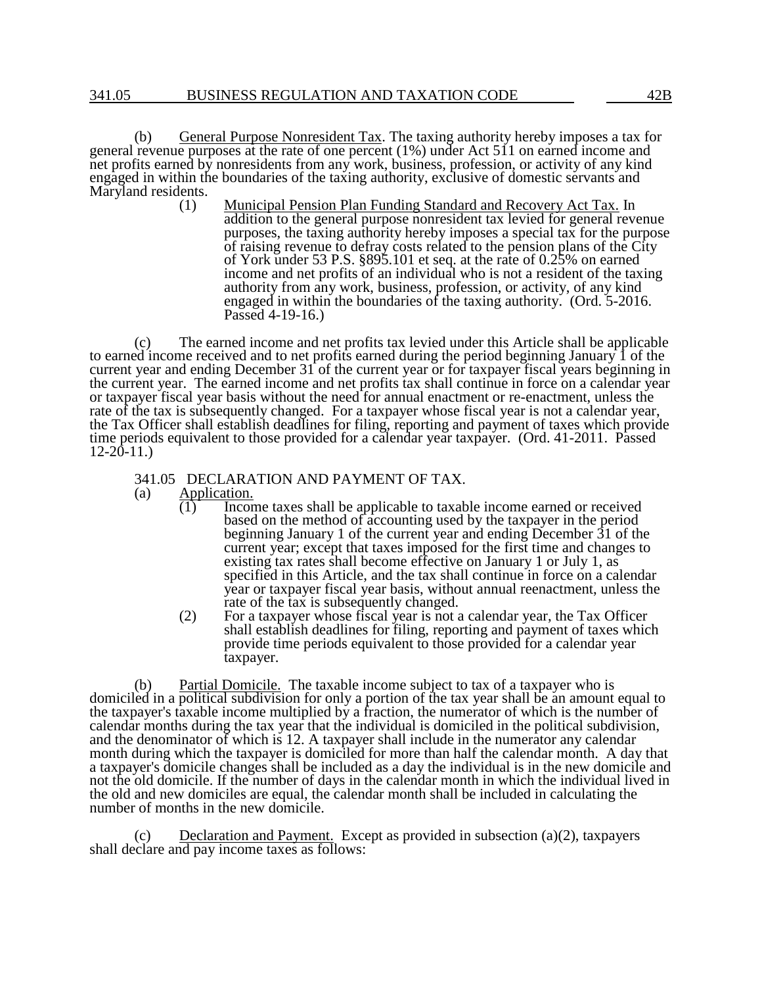(b) General Purpose Nonresident Tax. The taxing authority hereby imposes a tax for general revenue purposes at the rate of one percent (1%) under Act 511 on earned income and net profits earned by nonresidents from any work, business, profession, or activity of any kind engaged in within the boundaries of the taxing authority, exclusive of domestic servants and Maryland residents.  $(1)$ 

Municipal Pension Plan Funding Standard and Recovery Act Tax. In addition to the general purpose nonresident tax levied for general revenue purposes, the taxing authority hereby imposes a special tax for the purpose of raising revenue to defray costs related to the pension plans of the City of York under 53 P.S. §895.101 et seq. at the rate of 0.25% on earned income and net profits of an individual who is not a resident of the taxing authority from any work, business, profession, or activity, of any kind engaged in within the boundaries of the taxing authority. (Ord. 5-2016. Passed 4-19-16.)

(c) The earned income and net profits tax levied under this Article shall be applicable to earned income received and to net profits earned during the period beginning January 1 of the current year and ending December 31 of the current year or for taxpayer fiscal years beginning in the current year. The earned income and net profits tax shall continue in force on a calendar year or taxpayer fiscal year basis without the need for annual enactment or re-enactment, unless the rate of the tax is subsequently changed. For a taxpayer whose fiscal year is not a calendar year, the Tax Officer shall establish deadlines for filing, reporting and payment of taxes which provide time periods equivalent to those provided for a calendar year taxpayer. (Ord. 41-2011. Passed  $12-20-11.$ 

# 341.05 DECLARATION AND PAYMENT OF TAX.<br>(a) Application.

- $\frac{\text{Application.}}{\text{(1)}}$  Incorn
	- Income taxes shall be applicable to taxable income earned or received based on the method of accounting used by the taxpayer in the period beginning January 1 of the current year and ending December 31 of the current year; except that taxes imposed for the first time and changes to existing tax rates shall become effective on January 1 or July 1, as specified in this Article, and the tax shall continue in force on a calendar year or taxpayer fiscal year basis, without annual reenactment, unless the rate of the tax is subsequently changed.
	- (2) For a taxpayer whose fiscal year is not a calendar year, the Tax Officer shall establish deadlines for filing, reporting and payment of taxes which provide time periods equivalent to those provided for a calendar year taxpayer.

(b) Partial Domicile. The taxable income subject to tax of a taxpayer who is domiciled in a political subdivision for only a portion of the tax year shall be an amount equal to the taxpayer's taxable income multiplied by a fraction, the numerator of which is the number of calendar months during the tax year that the individual is domiciled in the political subdivision, and the denominator of which is 12. A taxpayer shall include in the numerator any calendar month during which the taxpayer is domiciled for more than half the calendar month. A day that a taxpayer's domicile changes shall be included as a day the individual is in the new domicile and not the old domicile. If the number of days in the calendar month in which the individual lived in the old and new domiciles are equal, the calendar month shall be included in calculating the number of months in the new domicile.

(c) Declaration and Payment. Except as provided in subsection  $(a)(2)$ , taxpayers shall declare and pay income taxes as follows: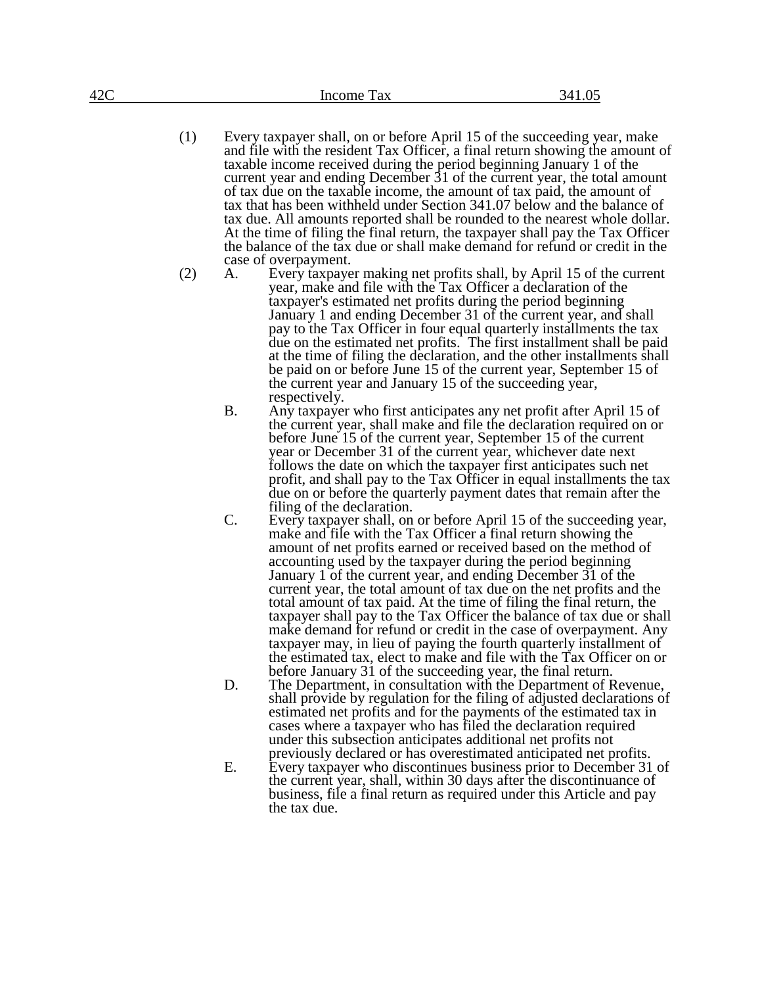- (1) Every taxpayer shall, on or before April 15 of the succeeding year, make and file with the resident Tax Officer, a final return showing the amount of taxable income received during the period beginning January 1 of the current year and ending December 31 of the current year, the total amount of tax due on the taxable income, the amount of tax paid, the amount of tax that has been withheld under Section 341.07 below and the balance of tax due. All amounts reported shall be rounded to the nearest whole dollar. At the time of filing the final return, the taxpayer shall pay the Tax Officer the balance of the tax due or shall make demand for refund or credit in the case of overpayment.
- (2) A. Every taxpayer making net profits shall, by April 15 of the current year, make and file with the Tax Officer a declaration of the taxpayer's estimated net profits during the period beginning January 1 and ending December 31 of the current year, and shall pay to the Tax Officer in four equal quarterly installments the tax due on the estimated net profits. The first installment shall be paid at the time of filing the declaration, and the other installments shall be paid on or before June 15 of the current year, September 15 of the current year and January 15 of the succeeding year, respectively.
	- B. Any taxpayer who first anticipates any net profit after April 15 of the current year, shall make and file the declaration required on or before June 15 of the current year, September 15 of the current year or December 31 of the current year, whichever date next follows the date on which the taxpayer first anticipates such net profit, and shall pay to the Tax Officer in equal installments the tax due on or before the quarterly payment dates that remain after the filing of the declaration.
	- C. Every taxpayer shall, on or before April 15 of the succeeding year, make and file with the Tax Officer a final return showing the amount of net profits earned or received based on the method of accounting used by the taxpayer during the period beginning January 1 of the current year, and ending December 31 of the current year, the total amount of tax due on the net profits and the total amount of tax paid. At the time of filing the final return, the taxpayer shall pay to the Tax Officer the balance of tax due or shall make demand for refund or credit in the case of overpayment. Any taxpayer may, in lieu of paying the fourth quarterly installment of the estimated tax, elect to make and file with the Tax Officer on or before January 31 of the succeeding year, the final return.
	- D. The Department, in consultation with the Department of Revenue, shall provide by regulation for the filing of adjusted declarations of estimated net profits and for the payments of the estimated tax in cases where a taxpayer who has filed the declaration required under this subsection anticipates additional net profits not previously declared or has overestimated anticipated net profits.
	- E. Every taxpayer who discontinues business prior to December 31 of the current year, shall, within 30 days after the discontinuance of business, file a final return as required under this Article and pay the tax due.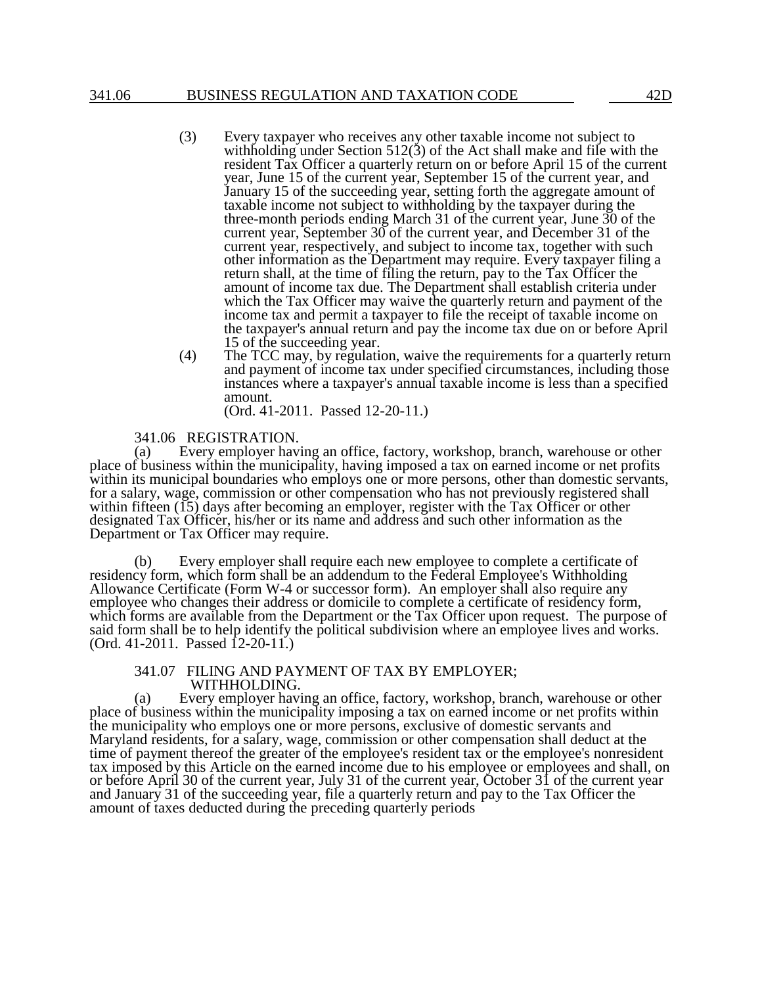- (3) Every taxpayer who receives any other taxable income not subject to withholding under Section  $512(3)$  of the Act shall make and file with the resident Tax Officer a quarterly return on or before April 15 of the current year, June 15 of the current year, September 15 of the current year, and January 15 of the succeeding year, setting forth the aggregate amount of taxable income not subject to withholding by the taxpayer during the three-month periods ending March 31 of the current year, June 30 of the current year, September 30 of the current year, and December 31 of the current year, respectively, and subject to income tax, together with such other information as the Department may require. Every taxpayer filing a return shall, at the time of filing the return, pay to the Tax Officer the amount of income tax due. The Department shall establish criteria under which the Tax Officer may waive the quarterly return and payment of the income tax and permit a taxpayer to file the receipt of taxable income on the taxpayer's annual return and pay the income tax due on or before April 15 of the succeeding year.
- (4) The TCC may, by regulation, waive the requirements for a quarterly return and payment of income tax under specified circumstances, including those instances where a taxpayer's annual taxable income is less than a specified amount.

(Ord. 41-2011. Passed 12-20-11.)

## 341.06 REGISTRATION.<br>(a) Every employer havi

Every employer having an office, factory, workshop, branch, warehouse or other place of business within the municipality, having imposed a tax on earned income or net profits within its municipal boundaries who employs one or more persons, other than domestic servants, for a salary, wage, commission or other compensation who has not previously registered shall within fifteen (15) days after becoming an employer, register with the Tax Officer or other designated Tax Officer, his/her or its name and address and such other information as the Department or Tax Officer may require.

(b) Every employer shall require each new employee to complete a certificate of residency form, which form shall be an addendum to the Federal Employee's Withholding Allowance Certificate (Form W-4 or successor form). An employer shall also require any employee who changes their address or domicile to complete a certificate of residency form, which forms are available from the Department or the Tax Officer upon request. The purpose of said form shall be to help identify the political subdivision where an employee lives and works. (Ord. 41-2011. Passed 12-20-11.)

### 341.07 FILING AND PAYMENT OF TAX BY EMPLOYER; WITHHOLDING.

(a) Every employer having an office, factory, workshop, branch, warehouse or other place of business within the municipality imposing a tax on earned income or net profits within the municipality who employs one or more persons, exclusive of domestic servants and Maryland residents, for a salary, wage, commission or other compensation shall deduct at the time of payment thereof the greater of the employee's resident tax or the employee's nonresident tax imposed by this Article on the earned income due to his employee or employees and shall, on or before April 30 of the current year, July 31 of the current year, October 31 of the current year and January 31 of the succeeding year, file a quarterly return and pay to the Tax Officer the amount of taxes deducted during the preceding quarterly periods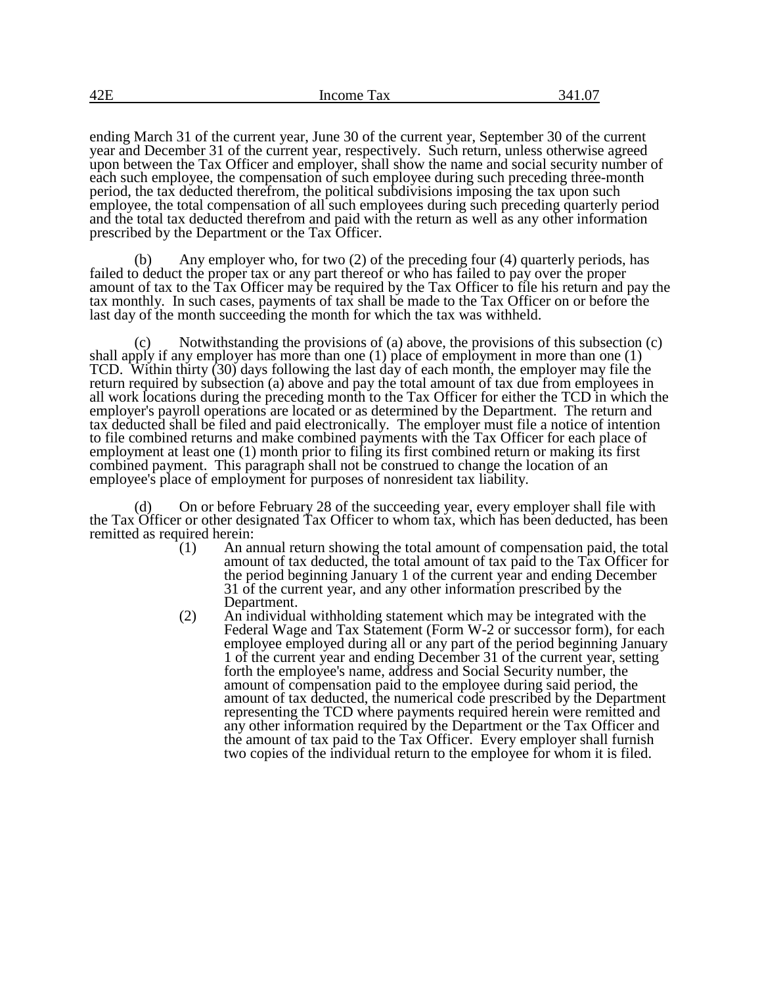ending March 31 of the current year, June 30 of the current year, September 30 of the current year and December 31 of the current year, respectively. Such return, unless otherwise agreed upon between the Tax Officer and employer, shall show the name and social security number of each such employee, the compensation of such employee during such preceding three-month period, the tax deducted therefrom, the political subdivisions imposing the tax upon such employee, the total compensation of all such employees during such preceding quarterly period and the total tax deducted therefrom and paid with the return as well as any other information prescribed by the Department or the Tax Officer.

(b) Any employer who, for two (2) of the preceding four (4) quarterly periods, has failed to deduct the proper tax or any part thereof or who has failed to pay over the proper amount of tax to the Tax Officer may be required by the Tax Officer to file his return and pay the tax monthly. In such cases, payments of tax shall be made to the Tax Officer on or before the last day of the month succeeding the month for which the tax was withheld.

(c) Notwithstanding the provisions of (a) above, the provisions of this subsection (c) shall apply if any employer has more than one (1) place of employment in more than one (1) TCD. Within thirty (30) days following the last day of each month, the employer may file the return required by subsection (a) above and pay the total amount of tax due from employees in all work locations during the preceding month to the Tax Officer for either the TCD in which the employer's payroll operations are located or as determined by the Department. The return and tax deducted shall be filed and paid electronically. The employer must file a notice of intention to file combined returns and make combined payments with the Tax Officer for each place of employment at least one (1) month prior to filing its first combined return or making its first combined payment. This paragraph shall not be construed to change the location of an employee's place of employment for purposes of nonresident tax liability.

(d) On or before February 28 of the succeeding year, every employer shall file with the Tax Officer or other designated Tax Officer to whom tax, which has been deducted, has been remitted as required herein:

- (1) An annual return showing the total amount of compensation paid, the total amount of tax deducted, the total amount of tax paid to the Tax Officer for the period beginning January 1 of the current year and ending December 31 of the current year, and any other information prescribed by the Department.
- (2) An individual withholding statement which may be integrated with the Federal Wage and Tax Statement (Form W-2 or successor form), for each employee employed during all or any part of the period beginning January 1 of the current year and ending December 31 of the current year, setting forth the employee's name, address and Social Security number, the amount of compensation paid to the employee during said period, the amount of tax deducted, the numerical code prescribed by the Department representing the TCD where payments required herein were remitted and any other information required by the Department or the Tax Officer and the amount of tax paid to the Tax Officer. Every employer shall furnish two copies of the individual return to the employee for whom it is filed.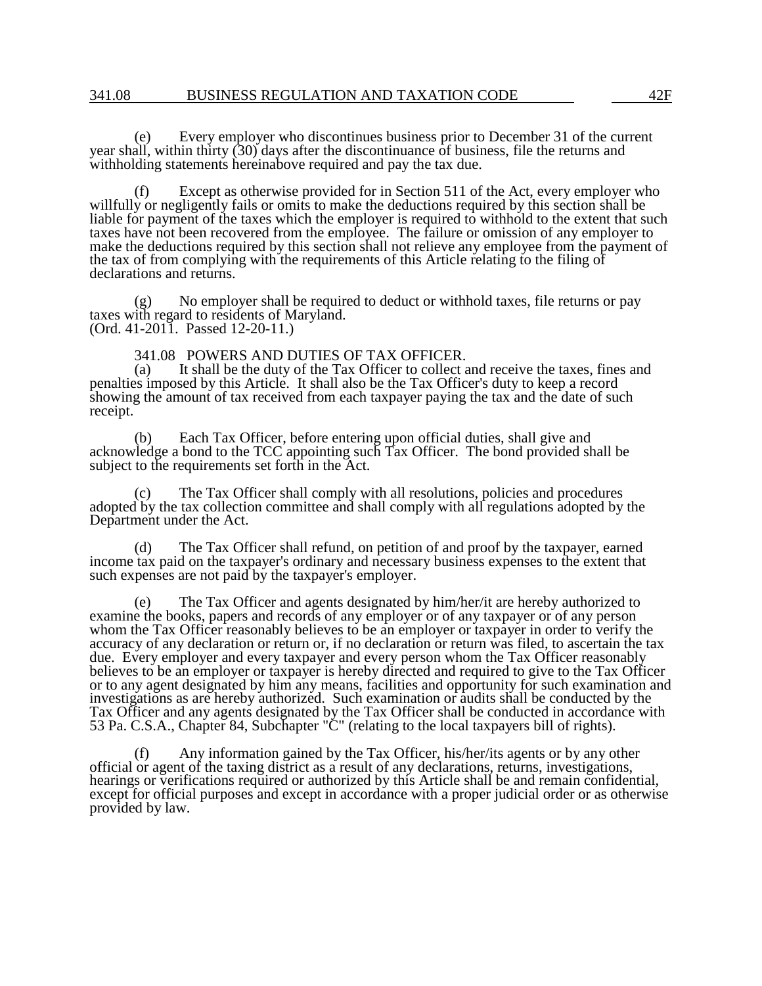(e) Every employer who discontinues business prior to December 31 of the current year shall, within thirty  $(30)$  days after the discontinuance of business, file the returns and withholding statements hereinabove required and pay the tax due.

(f) Except as otherwise provided for in Section 511 of the Act, every employer who willfully or negligently fails or omits to make the deductions required by this section shall be liable for payment of the taxes which the employer is required to withhold to the extent that such taxes have not been recovered from the employee. The failure or omission of any employer to make the deductions required by this section shall not relieve any employee from the payment of the tax of from complying with the requirements of this Article relating to the filing of declarations and returns.

No employer shall be required to deduct or withhold taxes, file returns or pay (g) No employer shall be require<br>taxes with regard to residents of Maryland. (Ord. 41-2011. Passed 12-20-11.)

# 341.08 POWERS AND DUTIES OF TAX OFFICER.<br>(a) It shall be the duty of the Tax Officer to collect a

It shall be the duty of the Tax Officer to collect and receive the taxes, fines and penalties imposed by this Article. It shall also be the Tax Officer's duty to keep a record showing the amount of tax received from each taxpayer paying the tax and the date of such receipt.

(b) Each Tax Officer, before entering upon official duties, shall give and acknowledge a bond to the TCC appointing such Tax Officer. The bond provided shall be subject to the requirements set forth in the Act.

The Tax Officer shall comply with all resolutions, policies and procedures adopted by the tax collection committee and shall comply with all regulations adopted by the Department under the Act.

(d) The Tax Officer shall refund, on petition of and proof by the taxpayer, earned income tax paid on the taxpayer's ordinary and necessary business expenses to the extent that such expenses are not paid by the taxpayer's employer.

The Tax Officer and agents designated by him/her/it are hereby authorized to examine the books, papers and records of any employer or of any taxpayer or of any person whom the Tax Officer reasonably believes to be an employer or taxpayer in order to verify the accuracy of any declaration or return or, if no declaration or return was filed, to ascertain the tax due. Every employer and every taxpayer and every person whom the Tax Officer reasonably believes to be an employer or taxpayer is hereby directed and required to give to the Tax Officer or to any agent designated by him any means, facilities and opportunity for such examination and investigations as are hereby authorized. Such examination or audits shall be conducted by the Tax Officer and any agents designated by the Tax Officer shall be conducted in accordance with 53 Pa. C.S.A., Chapter 84, Subchapter "C" (relating to the local taxpayers bill of rights).

(f) Any information gained by the Tax Officer, his/her/its agents or by any other official or agent of the taxing district as a result of any declarations, returns, investigations, hearings or verifications required or authorized by this Article shall be and remain confidential, except for official purposes and except in accordance with a proper judicial order or as otherwise provided by law.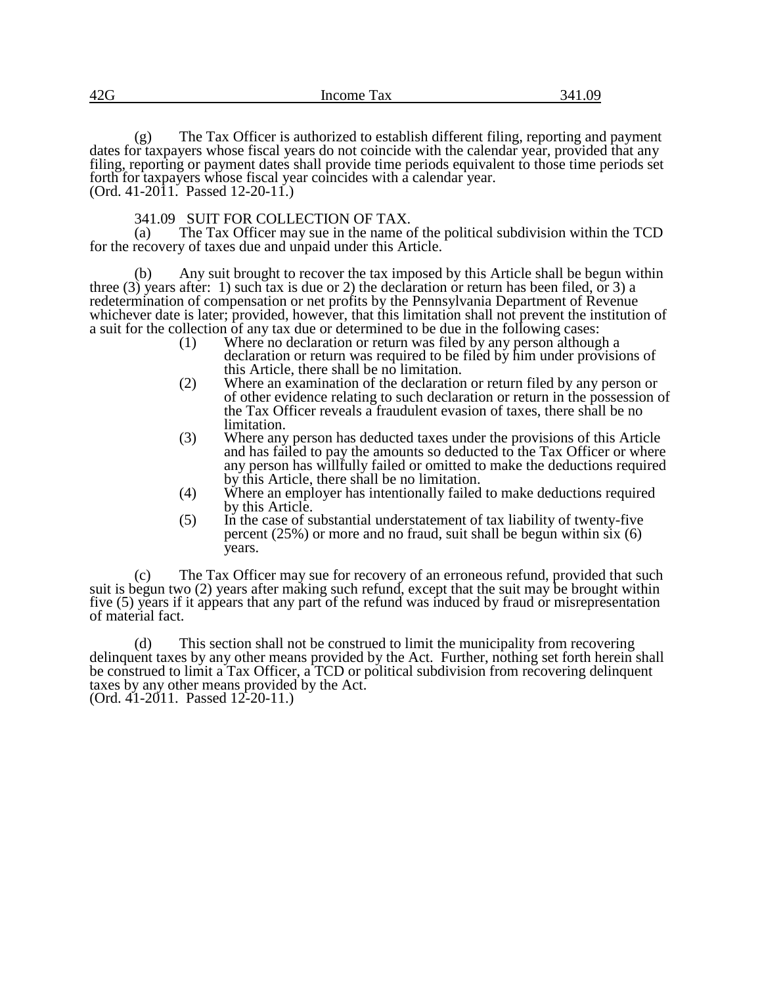| 42G | Income<br>Tax | M<br>$\sqrt{ }$ |
|-----|---------------|-----------------|
|     |               |                 |

(g) The Tax Officer is authorized to establish different filing, reporting and payment dates for taxpayers whose fiscal years do not coincide with the calendar year, provided that any filing, reporting or payment dates shall provide time periods equivalent to those time periods set forth for taxpayers whose fiscal year coincides with a calendar year. (Ord. 41-2011. Passed 12-20-11.)

341.09 SUIT FOR COLLECTION OF TAX.<br>(a) The Tax Officer may sue in the name of

The Tax Officer may sue in the name of the political subdivision within the TCD for the recovery of taxes due and unpaid under this Article.

(b) Any suit brought to recover the tax imposed by this Article shall be begun within three (3) years after: 1) such tax is due or 2) the declaration or return has been filed, or 3) a redetermination of compensation or net profits by the Pennsylvania Department of Revenue whichever date is later; provided, however, that this limitation shall not prevent the institution of a suit for the collection of any tax due or determined to be due in the following cases:<br>(1) Where no declaration or return was filed by any person although

- Where no declaration or return was filed by any person although a declaration or return was required to be filed by him under provisions of this Article, there shall be no limitation.
- (2) Where an examination of the declaration or return filed by any person or of other evidence relating to such declaration or return in the possession of the Tax Officer reveals a fraudulent evasion of taxes, there shall be no limitation.
- (3) Where any person has deducted taxes under the provisions of this Article and has failed to pay the amounts so deducted to the Tax Officer or where any person has willfully failed or omitted to make the deductions required by this Article, there shall be no limitation.
- (4) Where an employer has intentionally failed to make deductions required by this Article.
- (5) In the case of substantial understatement of tax liability of twenty-five percent (25%) or more and no fraud, suit shall be begun within six (6) years.

(c) The Tax Officer may sue for recovery of an erroneous refund, provided that such suit is begun two (2) years after making such refund, except that the suit may be brought within five (5) years if it appears that any part of the refund was induced by fraud or misrepresentation of material fact.

(d) This section shall not be construed to limit the municipality from recovering delinquent taxes by any other means provided by the Act. Further, nothing set forth herein shall be construed to limit a Tax Officer, a TCD or political subdivision from recovering delinquent taxes by any other means provided by the Act.

(Ord. 41-2011. Passed 12-20-11.)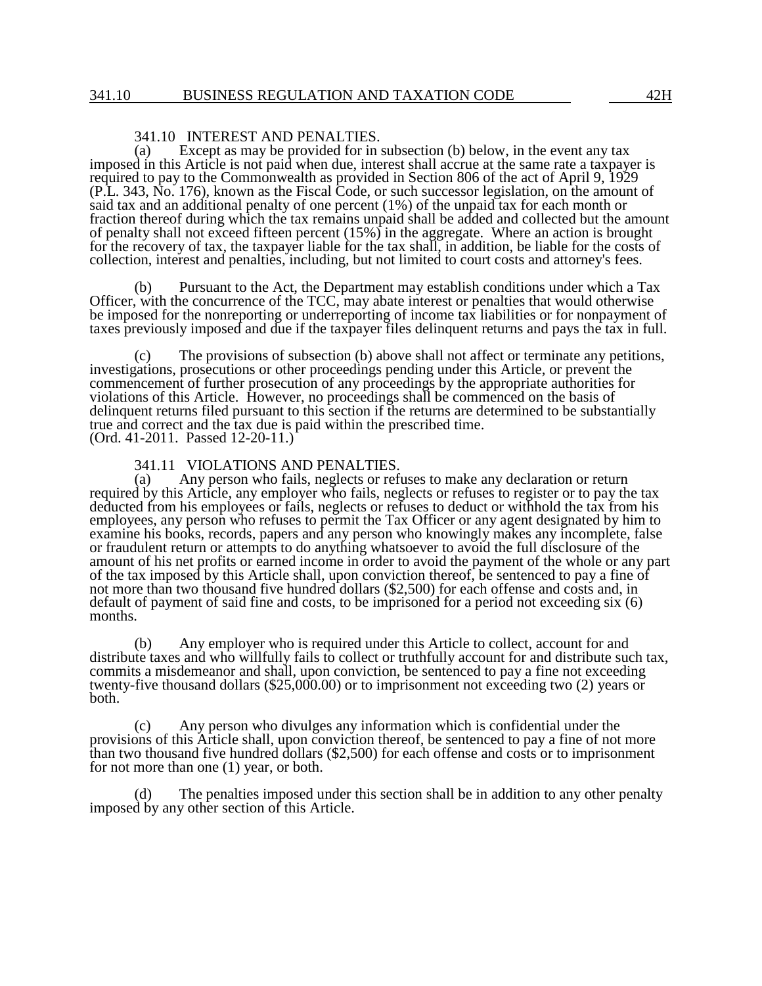## 341.10 INTEREST AND PENALTIES.<br>(a) Except as may be provided for in

Except as may be provided for in subsection (b) below, in the event any tax imposed in this Article is not paid when due, interest shall accrue at the same rate a taxpayer is required to pay to the Commonwealth as provided in Section 806 of the act of April 9, 1929 (P.L. 343, No. 176), known as the Fiscal Code, or such successor legislation, on the amount of said tax and an additional penalty of one percent (1%) of the unpaid tax for each month or fraction thereof during which the tax remains unpaid shall be added and collected but the amount of penalty shall not exceed fifteen percent  $(15%)$  in the aggregate. Where an action is brought for the recovery of tax, the taxpayer liable for the tax shall, in addition, be liable for the costs of collection, interest and penalties, including, but not limited to court costs and attorney's fees.

(b) Pursuant to the Act, the Department may establish conditions under which a Tax Officer, with the concurrence of the TCC, may abate interest or penalties that would otherwise be imposed for the nonreporting or underreporting of income tax liabilities or for nonpayment of taxes previously imposed and due if the taxpayer files delinquent returns and pays the tax in full.

(c) The provisions of subsection (b) above shall not affect or terminate any petitions, investigations, prosecutions or other proceedings pending under this Article, or prevent the commencement of further prosecution of any proceedings by the appropriate authorities for violations of this Article. However, no proceedings shall be commenced on the basis of delinquent returns filed pursuant to this section if the returns are determined to be substantially true and correct and the tax due is paid within the prescribed time. (Ord. 41-2011. Passed 12-20-11.)

### 341.11 VIOLATIONS AND PENALTIES.

(a) Any person who fails, neglects or refuses to make any declaration or return required by this Article, any employer who fails, neglects or refuses to register or to pay the tax deducted from his employees or fails, neglects or refuses to deduct or withhold the tax from his employees, any person who refuses to permit the Tax Officer or any agent designated by him to examine his books, records, papers and any person who knowingly makes any incomplete, false or fraudulent return or attempts to do anything whatsoever to avoid the full disclosure of the amount of his net profits or earned income in order to avoid the payment of the whole or any part of the tax imposed by this Article shall, upon conviction thereof, be sentenced to pay a fine of not more than two thousand five hundred dollars (\$2,500) for each offense and costs and, in default of payment of said fine and costs, to be imprisoned for a period not exceeding six (6) months.

(b) Any employer who is required under this Article to collect, account for and distribute taxes and who willfully fails to collect or truthfully account for and distribute such tax, commits a misdemeanor and shall, upon conviction, be sentenced to pay a fine not exceeding twenty-five thousand dollars (\$25,000.00) or to imprisonment not exceeding two (2) years or both.

(c) Any person who divulges any information which is confidential under the provisions of this Article shall, upon conviction thereof, be sentenced to pay a fine of not more than two thousand five hundred dollars (\$2,500) for each offense and costs or to imprisonment for not more than one (1) year, or both.

(d) The penalties imposed under this section shall be in addition to any other penalty imposed by any other section of this Article.